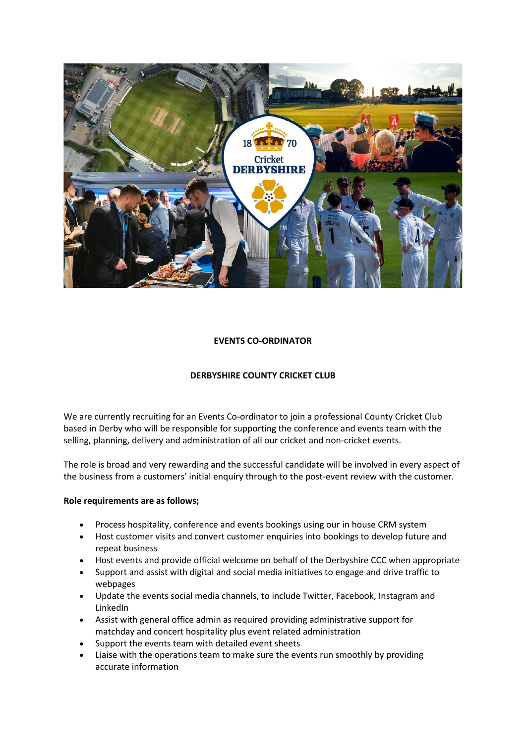

# **EVENTS CO-ORDINATOR**

# **DERBYSHIRE COUNTY CRICKET CLUB**

We are currently recruiting for an Events Co-ordinator to join a professional County Cricket Club based in Derby who will be responsible for supporting the conference and events team with the selling, planning, delivery and administration of all our cricket and non-cricket events.

The role is broad and very rewarding and the successful candidate will be involved in every aspect of the business from a customers' initial enquiry through to the post-event review with the customer.

### **Role requirements are as follows;**

- Process hospitality, conference and events bookings using our in house CRM system
- Host customer visits and convert customer enquiries into bookings to develop future and repeat business
- Host events and provide official welcome on behalf of the Derbyshire CCC when appropriate
- Support and assist with digital and social media initiatives to engage and drive traffic to webpages
- Update the events social media channels, to include Twitter, Facebook, Instagram and LinkedIn
- Assist with general office admin as required providing administrative support for matchday and concert hospitality plus event related administration
- Support the events team with detailed event sheets
- Liaise with the operations team to make sure the events run smoothly by providing accurate information